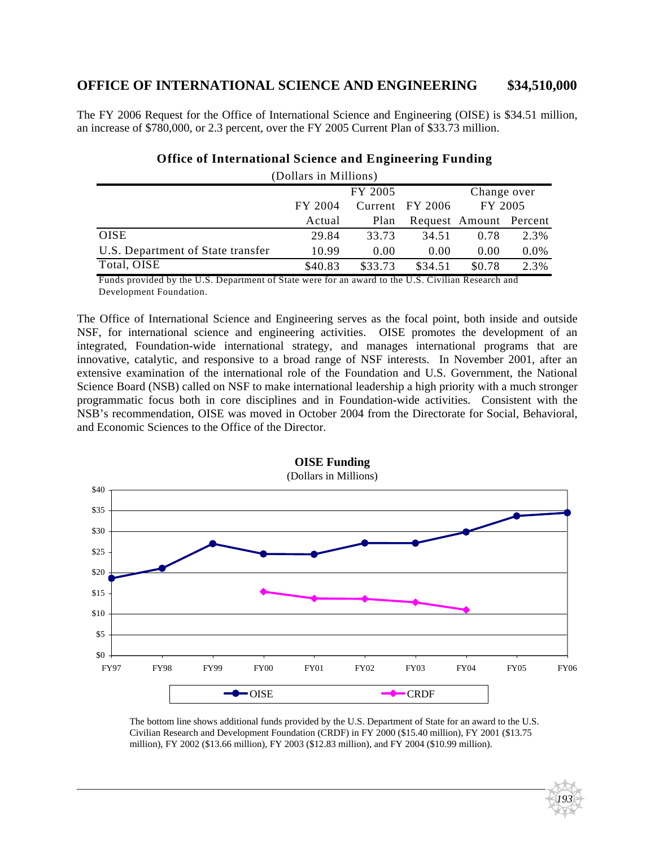## **OFFICE OF INTERNATIONAL SCIENCE AND ENGINEERING \$34,510,000**

The FY 2006 Request for the Office of International Science and Engineering (OISE) is \$34.51 million, an increase of \$780,000, or 2.3 percent, over the FY 2005 Current Plan of \$33.73 million.

| (Dollars in Millions)                                                                        |         |         |                   |                               |         |
|----------------------------------------------------------------------------------------------|---------|---------|-------------------|-------------------------------|---------|
|                                                                                              |         | FY 2005 |                   | Change over                   |         |
|                                                                                              | FY 2004 |         | Current FY 2006   | FY 2005                       |         |
|                                                                                              | Actual  | Plan    |                   | Request Amount Percent        |         |
| <b>OISE</b>                                                                                  | 29.84   | 33.73   | 34.51             | 0.78                          | 2.3%    |
| U.S. Department of State transfer                                                            | 10.99   | 0.00    | 0.00              | 0.00                          | $0.0\%$ |
| Total, OISE                                                                                  | \$40.83 | \$33.73 | \$34.51           | \$0.78                        | 2.3%    |
| $\mathbf{r}$ $\mathbf{r}$<br>$\mathbf{r}$ and $\mathbf{r}$ and $\mathbf{r}$ and $\mathbf{r}$ |         |         | $\cdots$ $\cdots$ | $\mathbf{r}$ and $\mathbf{r}$ |         |

#### **Office of International Science and Engineering Funding**

Development Foundation. Funds provided by the U.S. Department of State were for an award to the U.S. Civilian Research and

The Office of International Science and Engineering serves as the focal point, both inside and outside NSF, for international science and engineering activities. OISE promotes the development of an integrated, Foundation-wide international strategy, and manages international programs that are innovative, catalytic, and responsive to a broad range of NSF interests. In November 2001, after an extensive examination of the international role of the Foundation and U.S. Government, the National Science Board (NSB) called on NSF to make international leadership a high priority with a much stronger programmatic focus both in core disciplines and in Foundation-wide activities. Consistent with the NSB's recommendation, OISE was moved in October 2004 from the Directorate for Social, Behavioral, and Economic Sciences to the Office of the Director.



**OISE Funding**

The bottom line shows additional funds provided by the U.S. Department of State for an award to the U.S. Civilian Research and Development Foundation (CRDF) in FY 2000 (\$15.40 million), FY 2001 (\$13.75 million), FY 2002 (\$13.66 million), FY 2003 (\$12.83 million), and FY 2004 (\$10.99 million).

*193*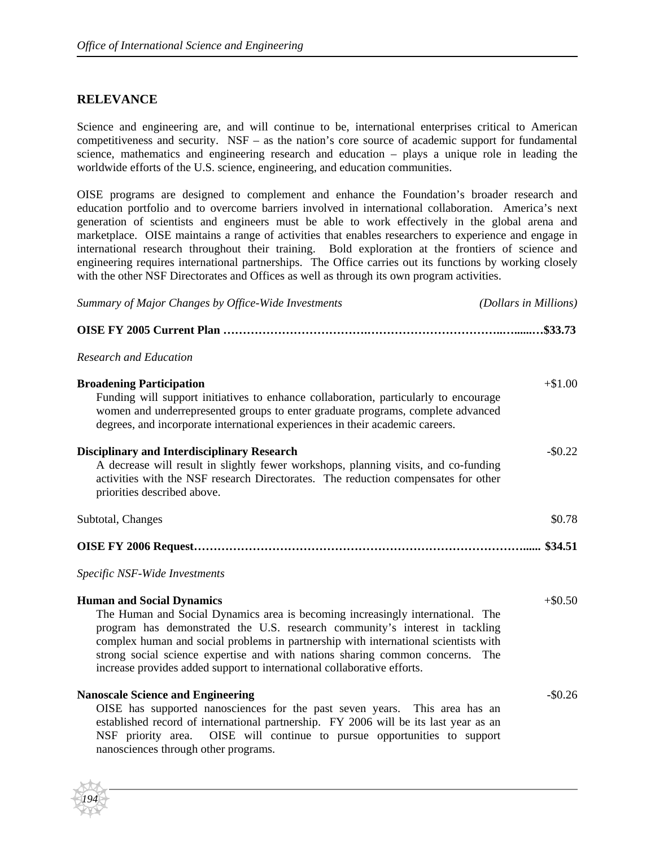## **RELEVANCE**

*194*

Science and engineering are, and will continue to be, international enterprises critical to American competitiveness and security. NSF – as the nation's core source of academic support for fundamental science, mathematics and engineering research and education – plays a unique role in leading the worldwide efforts of the U.S. science, engineering, and education communities.

OISE programs are designed to complement and enhance the Foundation's broader research and education portfolio and to overcome barriers involved in international collaboration. America's next generation of scientists and engineers must be able to work effectively in the global arena and marketplace. OISE maintains a range of activities that enables researchers to experience and engage in international research throughout their training. Bold exploration at the frontiers of science and engineering requires international partnerships. The Office carries out its functions by working closely with the other NSF Directorates and Offices as well as through its own program activities.

| Summary of Major Changes by Office-Wide Investments                                                                                                                                                                                                                                                                                                                                                                                              | (Dollars in Millions) |
|--------------------------------------------------------------------------------------------------------------------------------------------------------------------------------------------------------------------------------------------------------------------------------------------------------------------------------------------------------------------------------------------------------------------------------------------------|-----------------------|
|                                                                                                                                                                                                                                                                                                                                                                                                                                                  |                       |
| <b>Research and Education</b>                                                                                                                                                                                                                                                                                                                                                                                                                    |                       |
| <b>Broadening Participation</b><br>Funding will support initiatives to enhance collaboration, particularly to encourage<br>women and underrepresented groups to enter graduate programs, complete advanced<br>degrees, and incorporate international experiences in their academic careers.                                                                                                                                                      | $+ $1.00$             |
| <b>Disciplinary and Interdisciplinary Research</b><br>A decrease will result in slightly fewer workshops, planning visits, and co-funding<br>activities with the NSF research Directorates. The reduction compensates for other<br>priorities described above.                                                                                                                                                                                   | $-$ \$0.22            |
| Subtotal, Changes                                                                                                                                                                                                                                                                                                                                                                                                                                | \$0.78                |
|                                                                                                                                                                                                                                                                                                                                                                                                                                                  |                       |
| Specific NSF-Wide Investments                                                                                                                                                                                                                                                                                                                                                                                                                    |                       |
| <b>Human and Social Dynamics</b><br>The Human and Social Dynamics area is becoming increasingly international. The<br>program has demonstrated the U.S. research community's interest in tackling<br>complex human and social problems in partnership with international scientists with<br>strong social science expertise and with nations sharing common concerns.<br>increase provides added support to international collaborative efforts. | $+\$0.50$<br>The      |
| <b>Nanoscale Science and Engineering</b><br>OISE has supported nanosciences for the past seven years. This area has an<br>established record of international partnership. FY 2006 will be its last year as an<br>NSF priority area. OISE will continue to pursue opportunities to support<br>nanosciences through other programs.                                                                                                               | $-$0.26$              |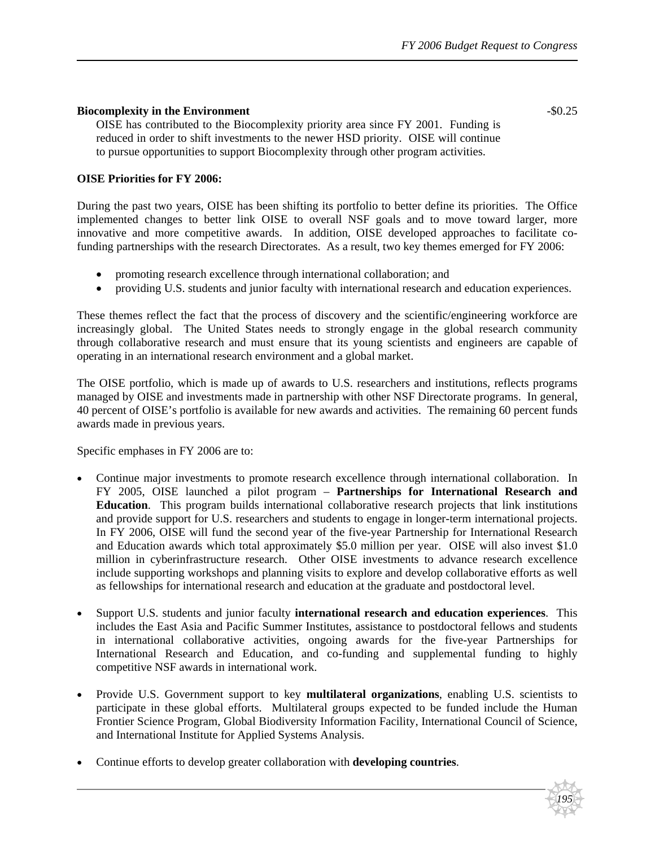#### **Biocomplexity in the Environment**  $-$  50.25

OISE has contributed to the Biocomplexity priority area since FY 2001. Funding is reduced in order to shift investments to the newer HSD priority. OISE will continue to pursue opportunities to support Biocomplexity through other program activities.

#### **OISE Priorities for FY 2006:**

During the past two years, OISE has been shifting its portfolio to better define its priorities. The Office implemented changes to better link OISE to overall NSF goals and to move toward larger, more innovative and more competitive awards. In addition, OISE developed approaches to facilitate cofunding partnerships with the research Directorates. As a result, two key themes emerged for FY 2006:

- promoting research excellence through international collaboration; and
- providing U.S. students and junior faculty with international research and education experiences.

These themes reflect the fact that the process of discovery and the scientific/engineering workforce are increasingly global. The United States needs to strongly engage in the global research community through collaborative research and must ensure that its young scientists and engineers are capable of operating in an international research environment and a global market.

The OISE portfolio, which is made up of awards to U.S. researchers and institutions, reflects programs managed by OISE and investments made in partnership with other NSF Directorate programs. In general, 40 percent of OISE's portfolio is available for new awards and activities. The remaining 60 percent funds awards made in previous years.

Specific emphases in FY 2006 are to:

- Continue major investments to promote research excellence through international collaboration. In FY 2005, OISE launched a pilot program – **Partnerships for International Research and Education**. This program builds international collaborative research projects that link institutions and provide support for U.S. researchers and students to engage in longer-term international projects. In FY 2006, OISE will fund the second year of the five-year Partnership for International Research and Education awards which total approximately \$5.0 million per year. OISE will also invest \$1.0 million in cyberinfrastructure research. Other OISE investments to advance research excellence include supporting workshops and planning visits to explore and develop collaborative efforts as well as fellowships for international research and education at the graduate and postdoctoral level.
- Support U.S. students and junior faculty **international research and education experiences**. This includes the East Asia and Pacific Summer Institutes, assistance to postdoctoral fellows and students in international collaborative activities, ongoing awards for the five-year Partnerships for International Research and Education, and co-funding and supplemental funding to highly competitive NSF awards in international work.
- Provide U.S. Government support to key **multilateral organizations**, enabling U.S. scientists to participate in these global efforts. Multilateral groups expected to be funded include the Human Frontier Science Program, Global Biodiversity Information Facility, International Council of Science, and International Institute for Applied Systems Analysis.
- Continue efforts to develop greater collaboration with **developing countries**.



*195*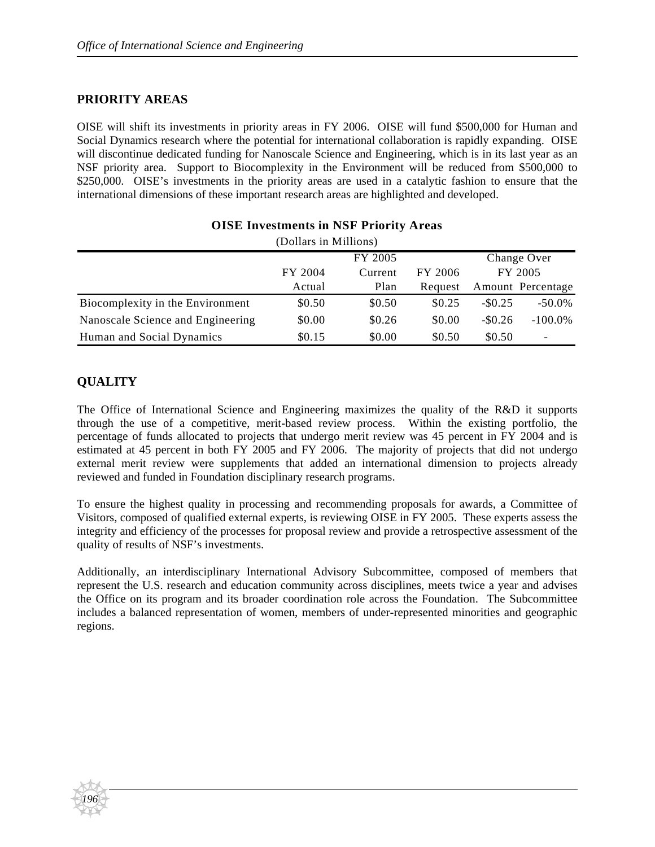## **PRIORITY AREAS**

OISE will shift its investments in priority areas in FY 2006. OISE will fund \$500,000 for Human and Social Dynamics research where the potential for international collaboration is rapidly expanding. OISE will discontinue dedicated funding for Nanoscale Science and Engineering, which is in its last year as an NSF priority area. Support to Biocomplexity in the Environment will be reduced from \$500,000 to \$250,000. OISE's investments in the priority areas are used in a catalytic fashion to ensure that the international dimensions of these important research areas are highlighted and developed.

| (Dollars in Millions)             |         |         |         |             |                              |
|-----------------------------------|---------|---------|---------|-------------|------------------------------|
|                                   | FY 2005 |         |         | Change Over |                              |
|                                   | FY 2004 | Current | FY 2006 |             | FY 2005                      |
|                                   | Actual  | Plan    | Request |             | Amount Percentage            |
| Biocomplexity in the Environment  | \$0.50  | \$0.50  | \$0.25  | $-$ \$0.25  | $-50.0\%$                    |
| Nanoscale Science and Engineering | \$0.00  | \$0.26  | \$0.00  | $-$ \$0.26  | $-100.0\%$                   |
| Human and Social Dynamics         | \$0.15  | \$0.00  | \$0.50  | \$0.50      | $\qquad \qquad \blacksquare$ |

## **OISE Investments in NSF Priority Areas**

## **QUALITY**

*196*

The Office of International Science and Engineering maximizes the quality of the R&D it supports through the use of a competitive, merit-based review process. Within the existing portfolio, the percentage of funds allocated to projects that undergo merit review was 45 percent in FY 2004 and is estimated at 45 percent in both FY 2005 and FY 2006. The majority of projects that did not undergo external merit review were supplements that added an international dimension to projects already reviewed and funded in Foundation disciplinary research programs.

To ensure the highest quality in processing and recommending proposals for awards, a Committee of Visitors, composed of qualified external experts, is reviewing OISE in FY 2005. These experts assess the integrity and efficiency of the processes for proposal review and provide a retrospective assessment of the quality of results of NSF's investments.

Additionally, an interdisciplinary International Advisory Subcommittee, composed of members that represent the U.S. research and education community across disciplines, meets twice a year and advises the Office on its program and its broader coordination role across the Foundation. The Subcommittee includes a balanced representation of women, members of under-represented minorities and geographic regions.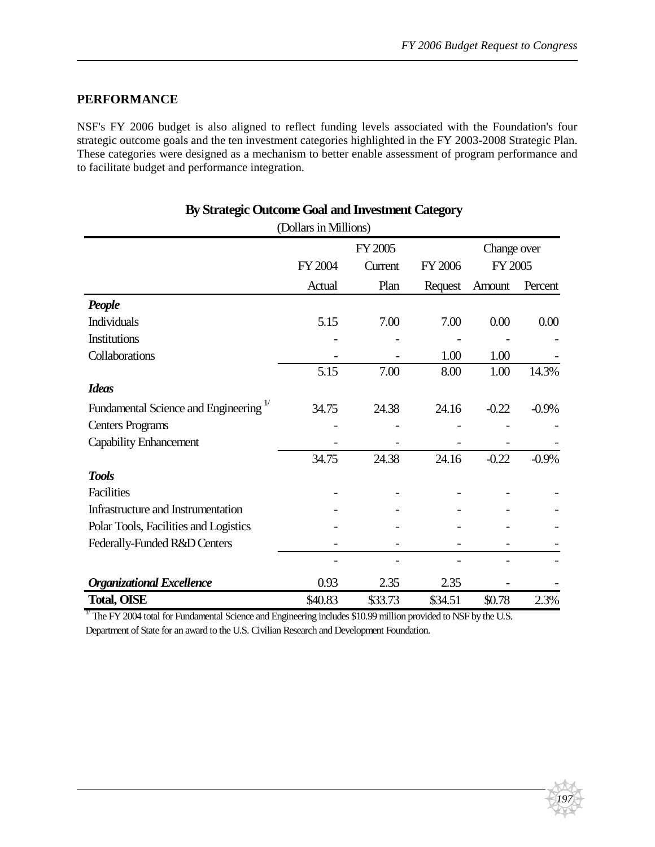*197*

## **PERFORMANCE**

NSF's FY 2006 budget is also aligned to reflect funding levels associated with the Foundation's four strategic outcome goals and the ten investment categories highlighted in the FY 2003-2008 Strategic Plan. These categories were designed as a mechanism to better enable assessment of program performance and to facilitate budget and performance integration.

| o                                                 | (Dollars in Millions) |         |         |             |         |
|---------------------------------------------------|-----------------------|---------|---------|-------------|---------|
|                                                   |                       | FY 2005 |         | Change over |         |
|                                                   | FY 2004               | Current | FY 2006 | FY 2005     |         |
|                                                   | Actual                | Plan    | Request | Amount      | Percent |
| People                                            |                       |         |         |             |         |
| Individuals                                       | 5.15                  | 7.00    | 7.00    | 0.00        | 0.00    |
| Institutions                                      |                       |         |         |             |         |
| Collaborations                                    |                       |         | 1.00    | 1.00        |         |
|                                                   | 5.15                  | 7.00    | 8.00    | 1.00        | 14.3%   |
| <b>Ideas</b>                                      |                       |         |         |             |         |
| Fundamental Science and Engineering <sup>1/</sup> | 34.75                 | 24.38   | 24.16   | $-0.22$     | $-0.9%$ |
| <b>Centers Programs</b>                           |                       |         |         |             |         |
| <b>Capability Enhancement</b>                     |                       |         |         |             |         |
|                                                   | 34.75                 | 24.38   | 24.16   | $-0.22$     | $-0.9%$ |
| <b>Tools</b>                                      |                       |         |         |             |         |
| Facilities                                        |                       |         |         |             |         |
| Infrastructure and Instrumentation                |                       |         |         |             |         |
| Polar Tools, Facilities and Logistics             |                       |         |         |             |         |
| Federally-Funded R&D Centers                      |                       |         |         |             |         |
|                                                   |                       |         |         |             |         |
| <b>Organizational Excellence</b>                  | 0.93                  | 2.35    | 2.35    |             |         |
| <b>Total, OISE</b>                                | \$40.83               | \$33.73 | \$34.51 | \$0.78      | 2.3%    |

## **By Strategic Outcome Goal and Investment Category**

 $1/$  The FY 2004 total for Fundamental Science and Engineering includes \$10.99 million provided to NSF by the U.S. Department of State for an award to the U.S. Civilian Research and Development Foundation.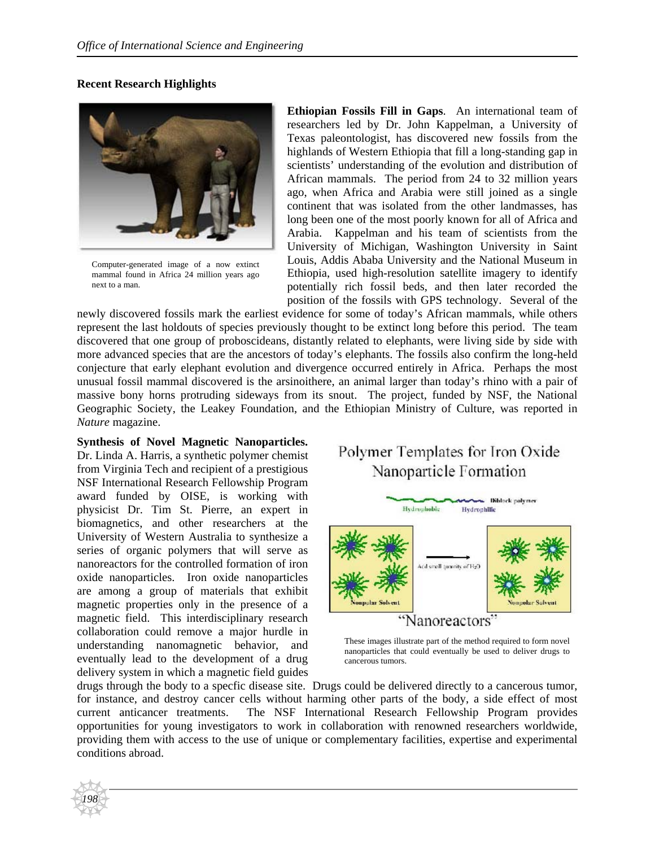### **Recent Research Highlights**



Computer-generated image of a now extinct mammal found in Africa 24 million years ago next to a man.

**Ethiopian Fossils Fill in Gaps**. An international team of researchers led by Dr. John Kappelman, a University of Texas paleontologist, has discovered new fossils from the highlands of Western Ethiopia that fill a long-standing gap in scientists' understanding of the evolution and distribution of African mammals. The period from 24 to 32 million years ago, when Africa and Arabia were still joined as a single continent that was isolated from the other landmasses, has long been one of the most poorly known for all of Africa and Arabia. Kappelman and his team of scientists from the University of Michigan, Washington University in Saint Louis, Addis Ababa University and the National Museum in Ethiopia, used high-resolution satellite imagery to identify potentially rich fossil beds, and then later recorded the position of the fossils with GPS technology. Several of the

newly discovered fossils mark the earliest evidence for some of today's African mammals, while others represent the last holdouts of species previously thought to be extinct long before this period. The team discovered that one group of proboscideans, distantly related to elephants, were living side by side with more advanced species that are the ancestors of today's elephants. The fossils also confirm the long-held conjecture that early elephant evolution and divergence occurred entirely in Africa. Perhaps the most unusual fossil mammal discovered is the arsinoithere, an animal larger than today's rhino with a pair of massive bony horns protruding sideways from its snout. The project, funded by NSF, the National Geographic Society, the Leakey Foundation, and the Ethiopian Ministry of Culture, was reported in *Nature* magazine.

#### **Synthesis of Novel Magnetic Nanoparticles.**

Dr. Linda A. Harris, a synthetic polymer chemist from Virginia Tech and recipient of a prestigious NSF International Research Fellowship Program award funded by OISE, is working with physicist Dr. Tim St. Pierre, an expert in biomagnetics, and other researchers at the University of Western Australia to synthesize a series of organic polymers that will serve as nanoreactors for the controlled formation of iron oxide nanoparticles. Iron oxide nanoparticles are among a group of materials that exhibit magnetic properties only in the presence of a magnetic field. This interdisciplinary research collaboration could remove a major hurdle in understanding nanomagnetic behavior, and eventually lead to the development of a drug delivery system in which a magnetic field guides

*198*

# Polymer Templates for Iron Oxide Nanoparticle Formation



These images illustrate part of the method required to form novel nanoparticles that could eventually be used to deliver drugs to cancerous tumors.

drugs through the body to a specfic disease site. Drugs could be delivered directly to a cancerous tumor, for instance, and destroy cancer cells without harming other parts of the body, a side effect of most current anticancer treatments. The NSF International Research Fellowship Program provides opportunities for young investigators to work in collaboration with renowned researchers worldwide, providing them with access to the use of unique or complementary facilities, expertise and experimental conditions abroad.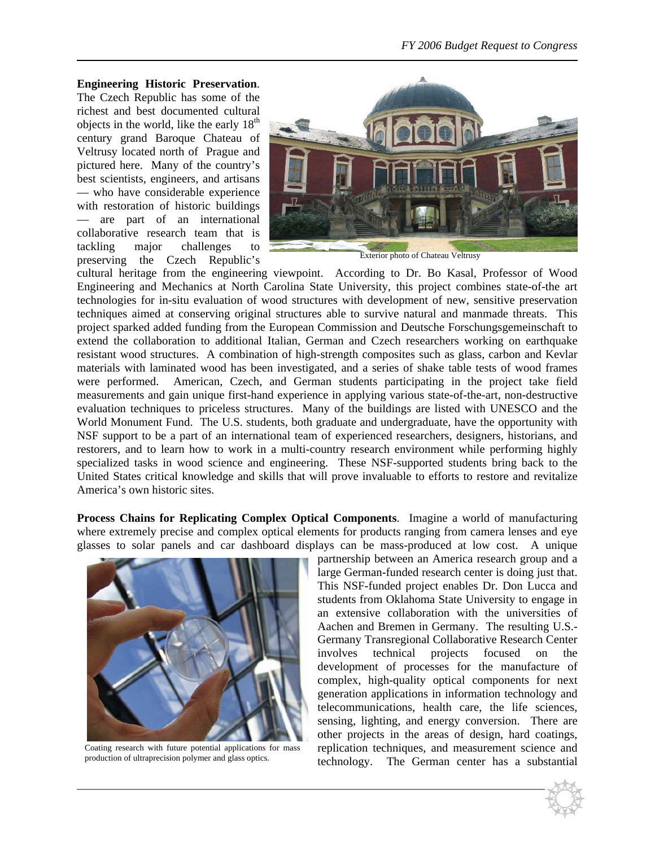#### **Engineering Historic Preservation**.

The Czech Republic has some of the richest and best documented cultural objects in the world, like the early  $18<sup>th</sup>$ century grand Baroque Chateau of Veltrusy located north of Prague and pictured here. Many of the country's best scientists, engineers, and artisans — who have considerable experience with restoration of historic buildings are part of an international collaborative research team that is tackling major challenges to preserving the Czech Republic's



cultural heritage from the engineering viewpoint. According to Dr. Bo Kasal, Professor of Wood Engineering and Mechanics at North Carolina State University, this project combines state-of-the art technologies for in-situ evaluation of wood structures with development of new, sensitive preservation techniques aimed at conserving original structures able to survive natural and manmade threats. This project sparked added funding from the European Commission and Deutsche Forschungsgemeinschaft to extend the collaboration to additional Italian, German and Czech researchers working on earthquake resistant wood structures. A combination of high-strength composites such as glass, carbon and Kevlar materials with laminated wood has been investigated, and a series of shake table tests of wood frames were performed. American, Czech, and German students participating in the project take field measurements and gain unique first-hand experience in applying various state-of-the-art, non-destructive evaluation techniques to priceless structures. Many of the buildings are listed with UNESCO and the World Monument Fund. The U.S. students, both graduate and undergraduate, have the opportunity with NSF support to be a part of an international team of experienced researchers, designers, historians, and restorers, and to learn how to work in a multi-country research environment while performing highly specialized tasks in wood science and engineering. These NSF-supported students bring back to the United States critical knowledge and skills that will prove invaluable to efforts to restore and revitalize America's own historic sites.

**Process Chains for Replicating Complex Optical Components**. Imagine a world of manufacturing where extremely precise and complex optical elements for products ranging from camera lenses and eye glasses to solar panels and car dashboard displays can be mass-produced at low cost. A unique



Coating research with future potential applications for mass production of ultraprecision polymer and glass optics.

partnership between an America research group and a large German-funded research center is doing just that. This NSF-funded project enables Dr. Don Lucca and students from Oklahoma State University to engage in an extensive collaboration with the universities of Aachen and Bremen in Germany. The resulting U.S.- Germany Transregional Collaborative Research Center involves technical projects focused on the development of processes for the manufacture of complex, high-quality optical components for next generation applications in information technology and telecommunications, health care, the life sciences, sensing, lighting, and energy conversion. There are other projects in the areas of design, hard coatings, replication techniques, and measurement science and technology. The German center has a substantial

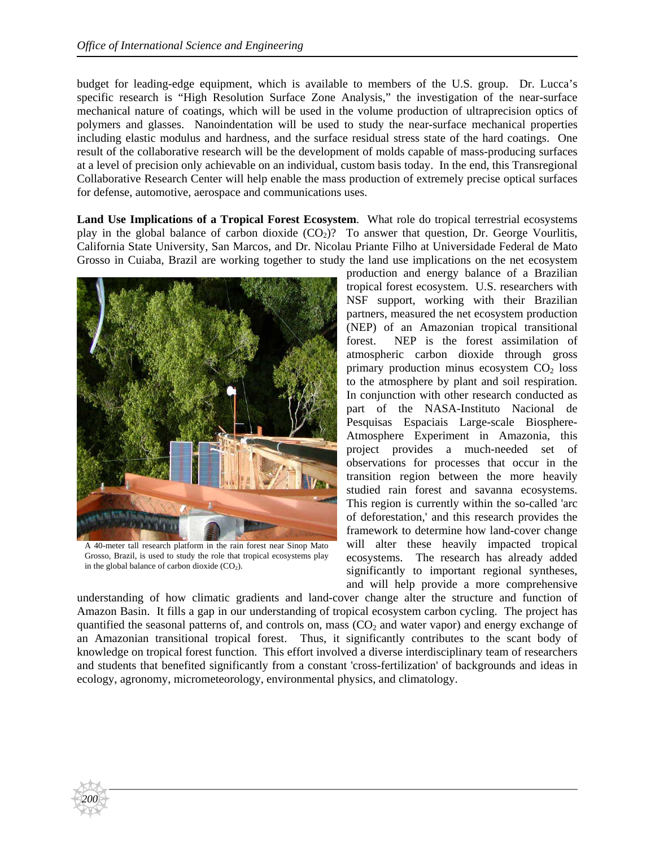budget for leading-edge equipment, which is available to members of the U.S. group. Dr. Lucca's specific research is "High Resolution Surface Zone Analysis," the investigation of the near-surface mechanical nature of coatings, which will be used in the volume production of ultraprecision optics of polymers and glasses. Nanoindentation will be used to study the near-surface mechanical properties including elastic modulus and hardness, and the surface residual stress state of the hard coatings. One result of the collaborative research will be the development of molds capable of mass-producing surfaces at a level of precision only achievable on an individual, custom basis today. In the end, this Transregional Collaborative Research Center will help enable the mass production of extremely precise optical surfaces for defense, automotive, aerospace and communications uses.

**Land Use Implications of a Tropical Forest Ecosystem**. What role do tropical terrestrial ecosystems play in the global balance of carbon dioxide  $(CO<sub>2</sub>)$ ? To answer that question, Dr. George Vourlitis, California State University, San Marcos, and Dr. Nicolau Priante Filho at Universidade Federal de Mato Grosso in Cuiaba, Brazil are working together to study the land use implications on the net ecosystem



A 40-meter tall research platform in the rain forest near Sinop Mato Grosso, Brazil, is used to study the role that tropical ecosystems play in the global balance of carbon dioxide  $(CO<sub>2</sub>)$ .

*200*

production and energy balance of a Brazilian tropical forest ecosystem. U.S. researchers with NSF support, working with their Brazilian partners, measured the net ecosystem production (NEP) of an Amazonian tropical transitional forest. NEP is the forest assimilation of atmospheric carbon dioxide through gross primary production minus ecosystem  $CO<sub>2</sub>$  loss to the atmosphere by plant and soil respiration. In conjunction with other research conducted as part of the NASA-Instituto Nacional de Pesquisas Espaciais Large-scale Biosphere-Atmosphere Experiment in Amazonia, this project provides a much-needed set of observations for processes that occur in the transition region between the more heavily studied rain forest and savanna ecosystems. This region is currently within the so-called 'arc of deforestation,' and this research provides the framework to determine how land-cover change will alter these heavily impacted tropical ecosystems. The research has already added significantly to important regional syntheses, and will help provide a more comprehensive

understanding of how climatic gradients and land-cover change alter the structure and function of Amazon Basin. It fills a gap in our understanding of tropical ecosystem carbon cycling. The project has quantified the seasonal patterns of, and controls on, mass  $(CO<sub>2</sub>$  and water vapor) and energy exchange of an Amazonian transitional tropical forest. Thus, it significantly contributes to the scant body of knowledge on tropical forest function. This effort involved a diverse interdisciplinary team of researchers and students that benefited significantly from a constant 'cross-fertilization' of backgrounds and ideas in ecology, agronomy, micrometeorology, environmental physics, and climatology.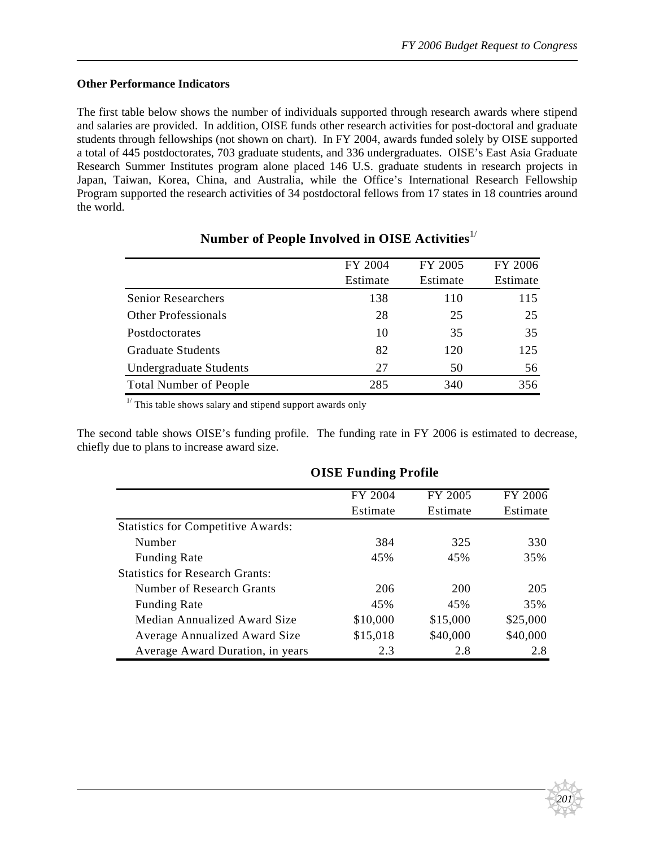#### **Other Performance Indicators**

The first table below shows the number of individuals supported through research awards where stipend and salaries are provided. In addition, OISE funds other research activities for post-doctoral and graduate students through fellowships (not shown on chart). In FY 2004, awards funded solely by OISE supported a total of 445 postdoctorates, 703 graduate students, and 336 undergraduates. OISE's East Asia Graduate Research Summer Institutes program alone placed 146 U.S. graduate students in research projects in Japan, Taiwan, Korea, China, and Australia, while the Office's International Research Fellowship Program supported the research activities of 34 postdoctoral fellows from 17 states in 18 countries around the world.

|                               | FY 2004  | FY 2005  | FY 2006  |
|-------------------------------|----------|----------|----------|
|                               | Estimate | Estimate | Estimate |
| <b>Senior Researchers</b>     | 138      | 110      | 115      |
| <b>Other Professionals</b>    | 28       | 25       | 25       |
| Postdoctorates                | 10       | 35       | 35       |
| <b>Graduate Students</b>      | 82       | 120      | 125      |
| Undergraduate Students        | 27       | 50       | 56       |
| <b>Total Number of People</b> | 285      | 340      | 356      |

## **Number of People Involved in OISE Activities** 1/

 $1/$  This table shows salary and stipend support awards only

The second table shows OISE's funding profile. The funding rate in FY 2006 is estimated to decrease, chiefly due to plans to increase award size.

|                                           | FY 2004  | FY 2005  | FY 2006  |
|-------------------------------------------|----------|----------|----------|
|                                           | Estimate | Estimate | Estimate |
| <b>Statistics for Competitive Awards:</b> |          |          |          |
| Number                                    | 384      | 325      | 330      |
| <b>Funding Rate</b>                       | 45%      | 45%      | 35%      |
| <b>Statistics for Research Grants:</b>    |          |          |          |
| Number of Research Grants                 | 206      | 200      | 205      |
| <b>Funding Rate</b>                       | 45%      | 45%      | 35%      |
| Median Annualized Award Size              | \$10,000 | \$15,000 | \$25,000 |
| <b>Average Annualized Award Size</b>      | \$15,018 | \$40,000 | \$40,000 |
| Average Award Duration, in years          | 2.3      | 2.8      | 2.8      |

#### **OISE Funding Profile**